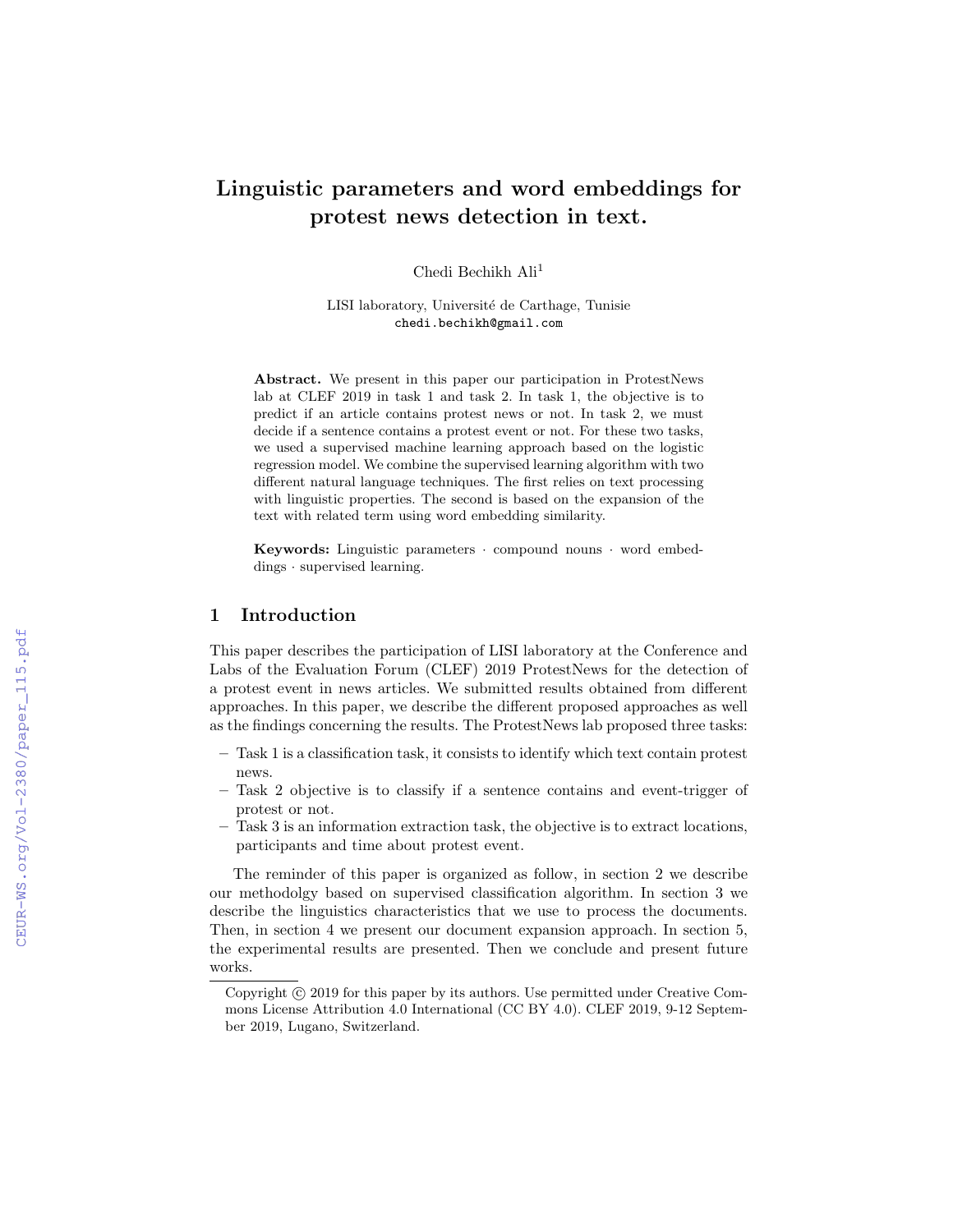# Linguistic parameters and word embeddings for protest news detection in text.

Chedi Bechikh Ali<sup>1</sup>

LISI laboratory, Université de Carthage, Tunisie chedi.bechikh@gmail.com

Abstract. We present in this paper our participation in ProtestNews lab at CLEF 2019 in task 1 and task 2. In task 1, the objective is to predict if an article contains protest news or not. In task 2, we must decide if a sentence contains a protest event or not. For these two tasks, we used a supervised machine learning approach based on the logistic regression model. We combine the supervised learning algorithm with two different natural language techniques. The first relies on text processing with linguistic properties. The second is based on the expansion of the text with related term using word embedding similarity.

**Keywords:** Linguistic parameters  $\cdot$  compound nouns  $\cdot$  word embeddings · supervised learning.

### 1 Introduction

This paper describes the participation of LISI laboratory at the Conference and Labs of the Evaluation Forum (CLEF) 2019 ProtestNews for the detection of a protest event in news articles. We submitted results obtained from different approaches. In this paper, we describe the different proposed approaches as well as the findings concerning the results. The ProtestNews lab proposed three tasks:

- Task 1 is a classification task, it consists to identify which text contain protest news.
- Task 2 objective is to classify if a sentence contains and event-trigger of protest or not.
- Task 3 is an information extraction task, the objective is to extract locations, participants and time about protest event.

The reminder of this paper is organized as follow, in section 2 we describe our methodolgy based on supervised classification algorithm. In section 3 we describe the linguistics characteristics that we use to process the documents. Then, in section 4 we present our document expansion approach. In section 5, the experimental results are presented. Then we conclude and present future works.

Copyright  $\odot$  2019 for this paper by its authors. Use permitted under Creative Commons License Attribution 4.0 International (CC BY 4.0). CLEF 2019, 9-12 September 2019, Lugano, Switzerland.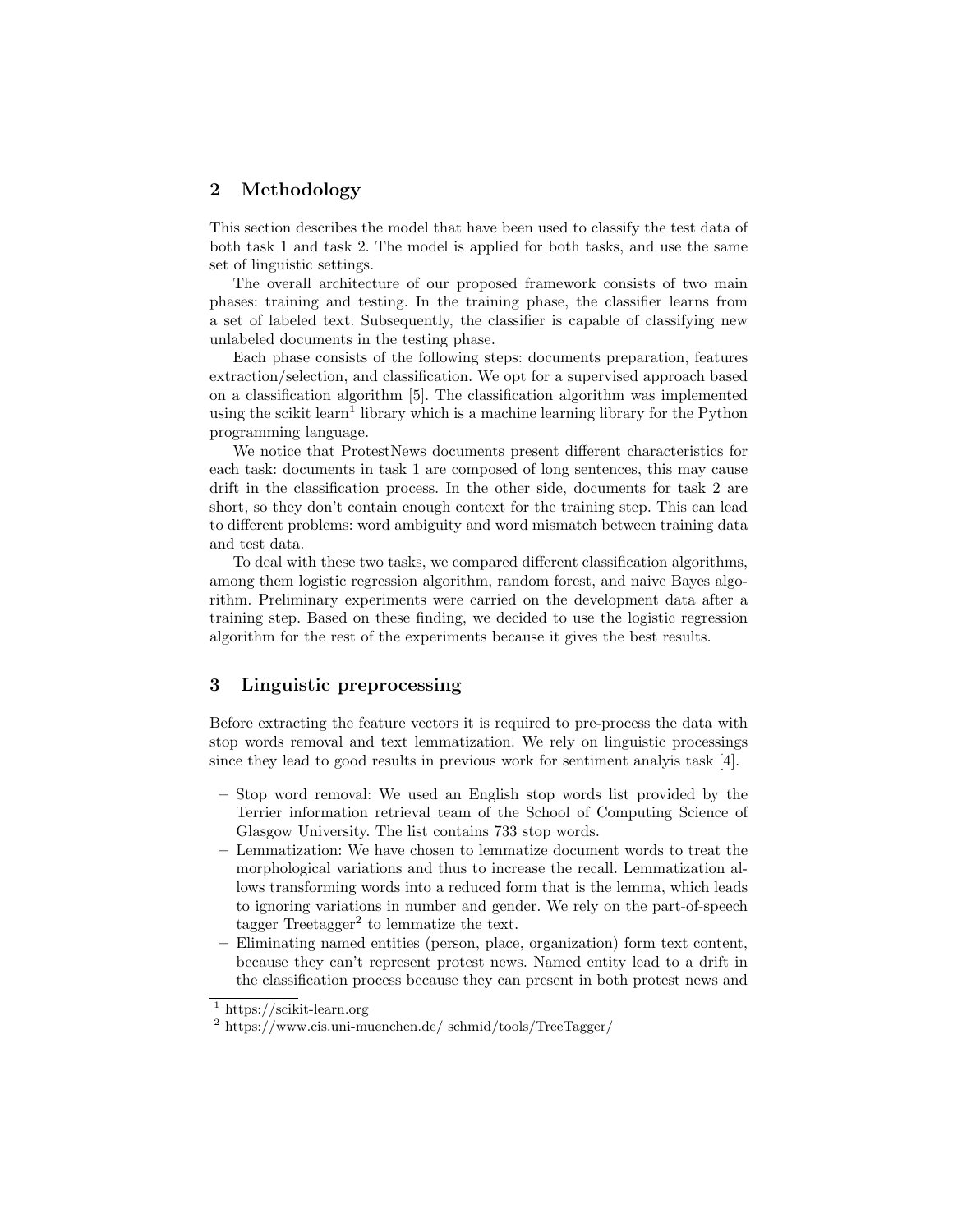## 2 Methodology

This section describes the model that have been used to classify the test data of both task 1 and task 2. The model is applied for both tasks, and use the same set of linguistic settings.

The overall architecture of our proposed framework consists of two main phases: training and testing. In the training phase, the classifier learns from a set of labeled text. Subsequently, the classifier is capable of classifying new unlabeled documents in the testing phase.

Each phase consists of the following steps: documents preparation, features extraction/selection, and classification. We opt for a supervised approach based on a classification algorithm [5]. The classification algorithm was implemented using the scikit learn<sup>1</sup> library which is a machine learning library for the Python programming language.

We notice that ProtestNews documents present different characteristics for each task: documents in task 1 are composed of long sentences, this may cause drift in the classification process. In the other side, documents for task 2 are short, so they don't contain enough context for the training step. This can lead to different problems: word ambiguity and word mismatch between training data and test data.

To deal with these two tasks, we compared different classification algorithms, among them logistic regression algorithm, random forest, and naive Bayes algorithm. Preliminary experiments were carried on the development data after a training step. Based on these finding, we decided to use the logistic regression algorithm for the rest of the experiments because it gives the best results.

## 3 Linguistic preprocessing

Before extracting the feature vectors it is required to pre-process the data with stop words removal and text lemmatization. We rely on linguistic processings since they lead to good results in previous work for sentiment analyis task [4].

- Stop word removal: We used an English stop words list provided by the Terrier information retrieval team of the School of Computing Science of Glasgow University. The list contains 733 stop words.
- Lemmatization: We have chosen to lemmatize document words to treat the morphological variations and thus to increase the recall. Lemmatization allows transforming words into a reduced form that is the lemma, which leads to ignoring variations in number and gender. We rely on the part-of-speech tagger  $Treetagger<sup>2</sup>$  to lemmatize the text.
- Eliminating named entities (person, place, organization) form text content, because they can't represent protest news. Named entity lead to a drift in the classification process because they can present in both protest news and

 $1$  https://scikit-learn.org

<sup>2</sup> https://www.cis.uni-muenchen.de/ schmid/tools/TreeTagger/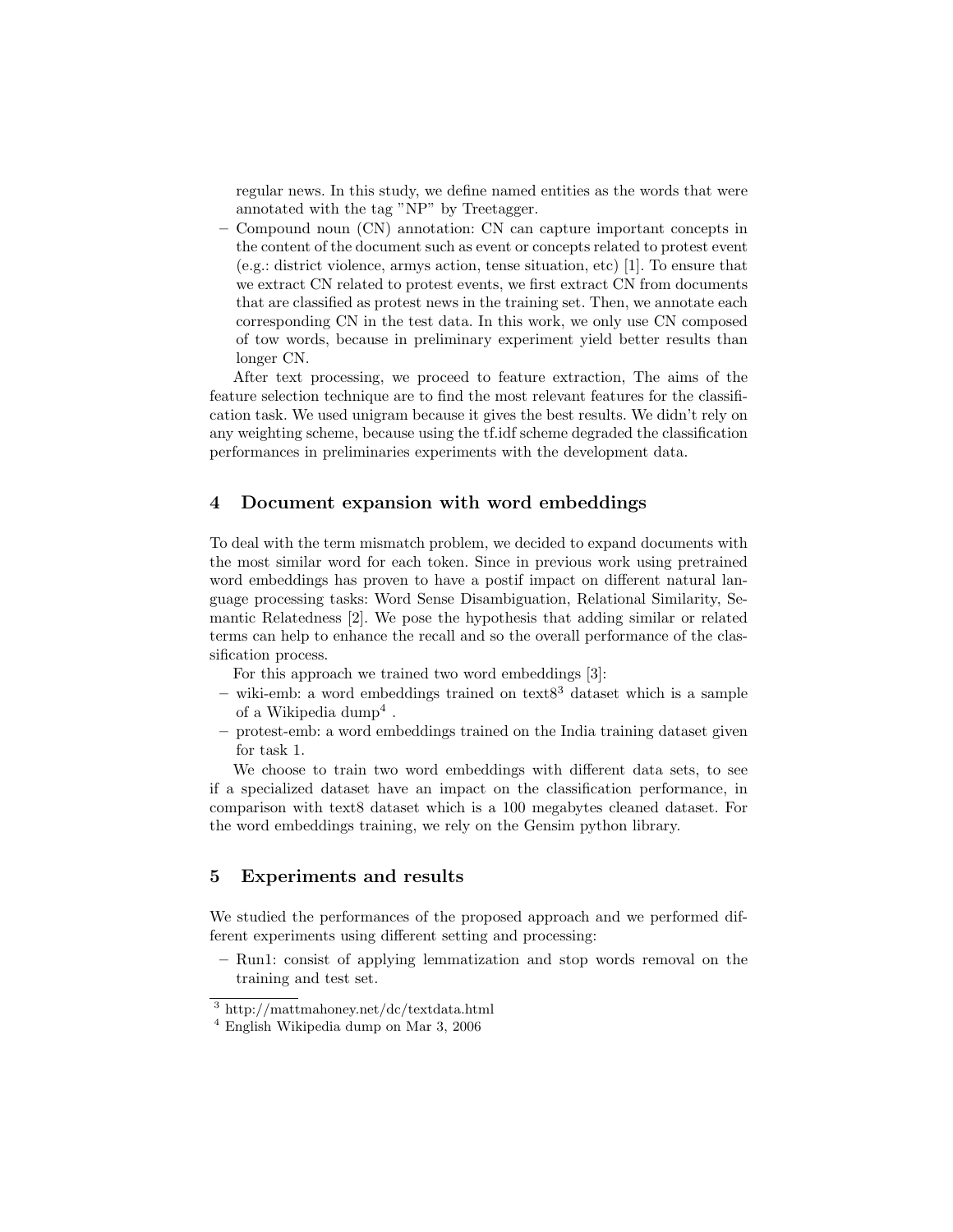regular news. In this study, we define named entities as the words that were annotated with the tag "NP" by Treetagger.

– Compound noun (CN) annotation: CN can capture important concepts in the content of the document such as event or concepts related to protest event (e.g.: district violence, armys action, tense situation, etc) [1]. To ensure that we extract CN related to protest events, we first extract CN from documents that are classified as protest news in the training set. Then, we annotate each corresponding CN in the test data. In this work, we only use CN composed of tow words, because in preliminary experiment yield better results than longer CN.

After text processing, we proceed to feature extraction, The aims of the feature selection technique are to find the most relevant features for the classification task. We used unigram because it gives the best results. We didn't rely on any weighting scheme, because using the tf.idf scheme degraded the classification performances in preliminaries experiments with the development data.

#### 4 Document expansion with word embeddings

To deal with the term mismatch problem, we decided to expand documents with the most similar word for each token. Since in previous work using pretrained word embeddings has proven to have a postif impact on different natural language processing tasks: Word Sense Disambiguation, Relational Similarity, Semantic Relatedness [2]. We pose the hypothesis that adding similar or related terms can help to enhance the recall and so the overall performance of the classification process.

For this approach we trained two word embeddings [3]:

- wiki-emb: a word embeddings trained on text $8<sup>3</sup>$  dataset which is a sample of a Wikipedia  $\text{dump}^4$ .
- protest-emb: a word embeddings trained on the India training dataset given for task 1.

We choose to train two word embeddings with different data sets, to see if a specialized dataset have an impact on the classification performance, in comparison with text8 dataset which is a 100 megabytes cleaned dataset. For the word embeddings training, we rely on the Gensim python library.

## 5 Experiments and results

We studied the performances of the proposed approach and we performed different experiments using different setting and processing:

– Run1: consist of applying lemmatization and stop words removal on the training and test set.

<sup>3</sup> http://mattmahoney.net/dc/textdata.html

<sup>4</sup> English Wikipedia dump on Mar 3, 2006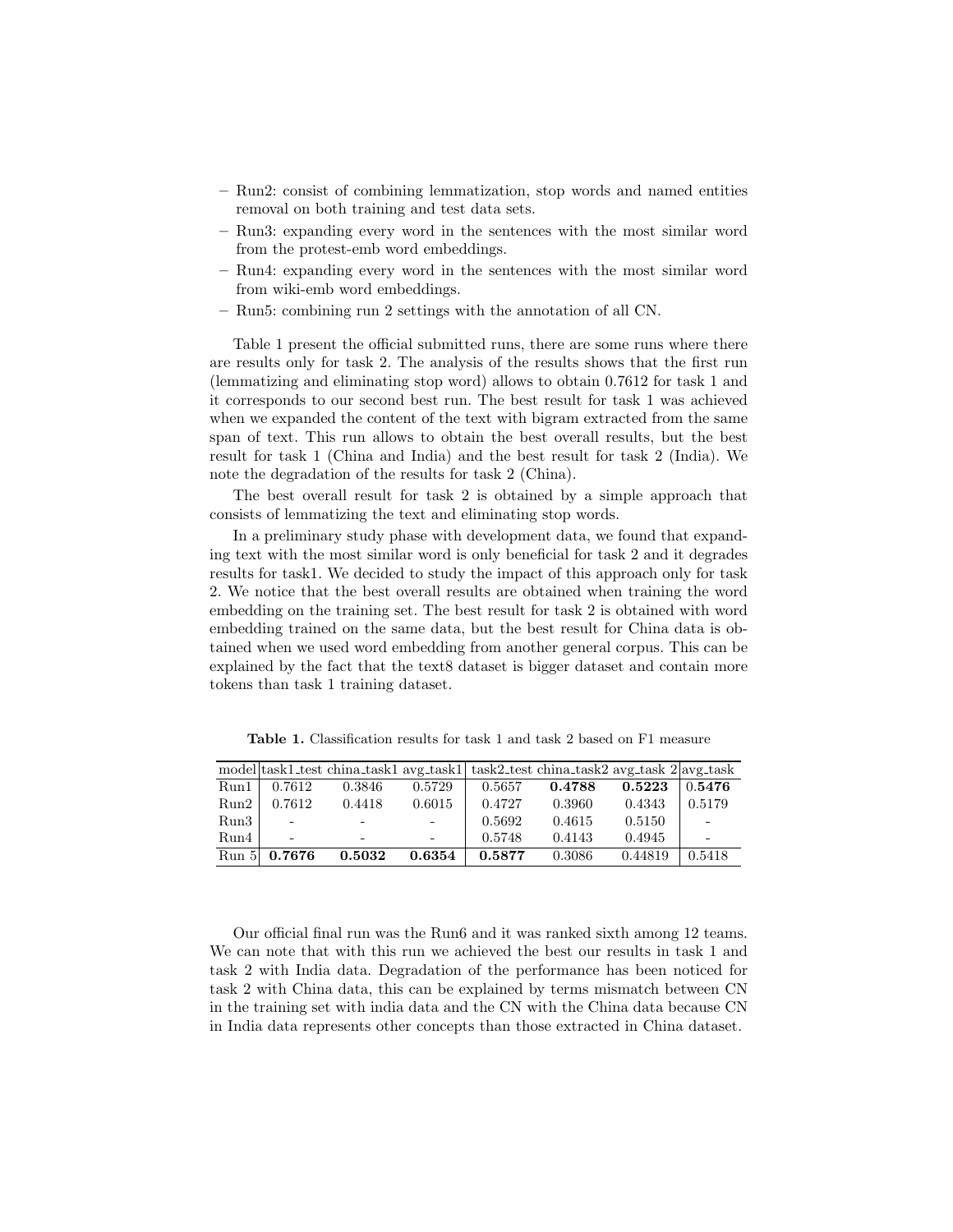- Run2: consist of combining lemmatization, stop words and named entities removal on both training and test data sets.
- Run3: expanding every word in the sentences with the most similar word from the protest-emb word embeddings.
- Run4: expanding every word in the sentences with the most similar word from wiki-emb word embeddings.
- Run5: combining run 2 settings with the annotation of all CN.

Table 1 present the official submitted runs, there are some runs where there are results only for task 2. The analysis of the results shows that the first run (lemmatizing and eliminating stop word) allows to obtain 0.7612 for task 1 and it corresponds to our second best run. The best result for task 1 was achieved when we expanded the content of the text with bigram extracted from the same span of text. This run allows to obtain the best overall results, but the best result for task 1 (China and India) and the best result for task 2 (India). We note the degradation of the results for task 2 (China).

The best overall result for task 2 is obtained by a simple approach that consists of lemmatizing the text and eliminating stop words.

In a preliminary study phase with development data, we found that expanding text with the most similar word is only beneficial for task 2 and it degrades results for task1. We decided to study the impact of this approach only for task 2. We notice that the best overall results are obtained when training the word embedding on the training set. The best result for task 2 is obtained with word embedding trained on the same data, but the best result for China data is obtained when we used word embedding from another general corpus. This can be explained by the fact that the text8 dataset is bigger dataset and contain more tokens than task 1 training dataset.

|       |                          |                          |        |        | model task1_test china_task1 avg_task1 task2_test china_task2 avg_task 2 avg_task |         |        |
|-------|--------------------------|--------------------------|--------|--------|-----------------------------------------------------------------------------------|---------|--------|
| Run1  | 0.7612                   | 0.3846                   | 0.5729 | 0.5657 | 0.4788                                                                            | 0.5223  | 0.5476 |
| Run2  | 0.7612                   | 0.4418                   | 0.6015 | 0.4727 | 0.3960                                                                            | 0.4343  | 0.5179 |
| Run3  | $\overline{\phantom{a}}$ | $\overline{\phantom{0}}$ |        | 0.5692 | 0.4615                                                                            | 0.5150  |        |
| Run4  | $\equiv$                 | $\overline{\phantom{0}}$ |        | 0.5748 | 0.4143                                                                            | 0.4945  |        |
| Run 5 | 0.7676                   | 0.5032                   | 0.6354 | 0.5877 | 0.3086                                                                            | 0.44819 | 0.5418 |

Table 1. Classification results for task 1 and task 2 based on F1 measure

Our official final run was the Run6 and it was ranked sixth among 12 teams. We can note that with this run we achieved the best our results in task 1 and task 2 with India data. Degradation of the performance has been noticed for task 2 with China data, this can be explained by terms mismatch between CN in the training set with india data and the CN with the China data because CN in India data represents other concepts than those extracted in China dataset.